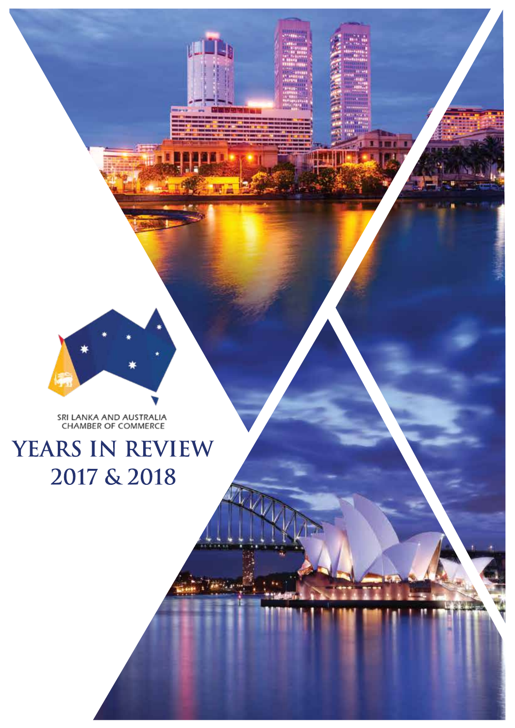## YEARS IN REVIEW 2017 & 2018

SRI LANKA AND AUSTRALIA<br>CHAMBER OF COMMERCE



週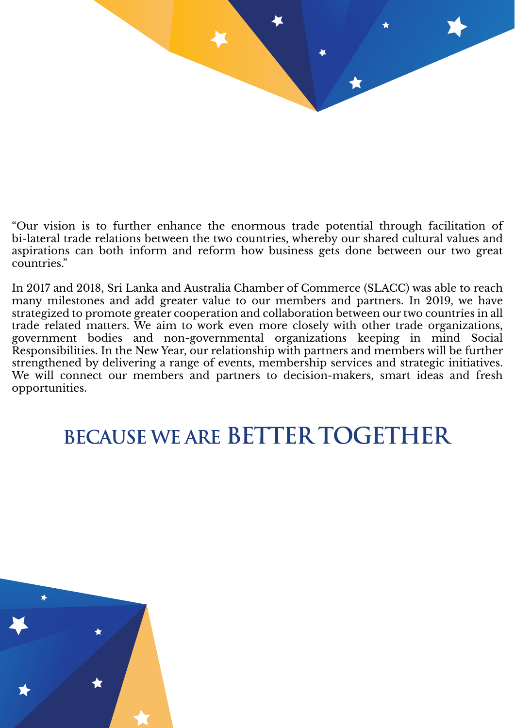

"Our vision is to further enhance the enormous trade potential through facilitation of bi-lateral trade relations between the two countries, whereby our shared cultural values and aspirations can both inform and reform how business gets done between our two great countries."

In 2017 and 2018, Sri Lanka and Australia Chamber of Commerce (SLACC) was able to reach many milestones and add greater value to our members and partners. In 2019, we have strategized to promote greater cooperation and collaboration between our two countries in all trade related matters. We aim to work even more closely with other trade organizations, government bodies and non-governmental organizations keeping in mind Social Responsibilities. In the New Year, our relationship with partners and members will be further strengthened by delivering a range of events, membership services and strategic initiatives. We will connect our members and partners to decision-makers, smart ideas and fresh opportunities.

## **BECAUSE WE ARE BETTER TOGETHER**

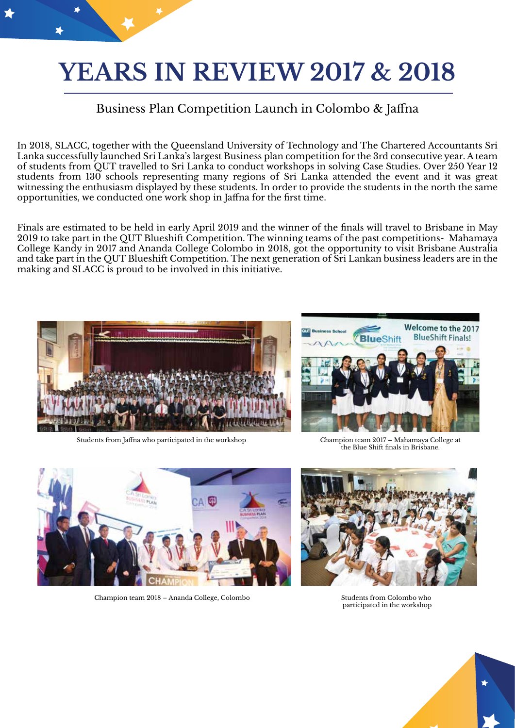# **YEARS IN REVIEW 2017 & 2018**

#### Business Plan Competition Launch in Colombo & Jaffna

In 2018, SLACC, together with the Queensland University of Technology and The Chartered Accountants Sri Lanka successfully launched Sri Lanka's largest Business plan competition for the 3rd consecutive year. A team of students from QUT travelled to Sri Lanka to conduct workshops in solving Case Studies. Over 250 Year 12 students from 130 schools representing many regions of Sri Lanka attended the event and it was great witnessing the enthusiasm displayed by these students. In order to provide the students in the north the same opportunities, we conducted one work shop in Jaffna for the first time.

Finals are estimated to be held in early April 2019 and the winner of the finals will travel to Brisbane in May 2019 to take part in the QUT Blueshift Competition. The winning teams of the past competitions- Mahamaya College Kandy in 2017 and Ananda College Colombo in 2018, got the opportunity to visit Brisbane Australia and take part in the QUT Blueshift Competition. The next generation of Sri Lankan business leaders are in the making and SLACC is proud to be involved in this initiative.



Students from Jaffna who participated in the workshop Champion team 2017 – Mahamaya College at



the Blue Shift finals in Brisbane.



Champion team 2018 – Ananda College, Colombo Students from Colombo who



participated in the workshop

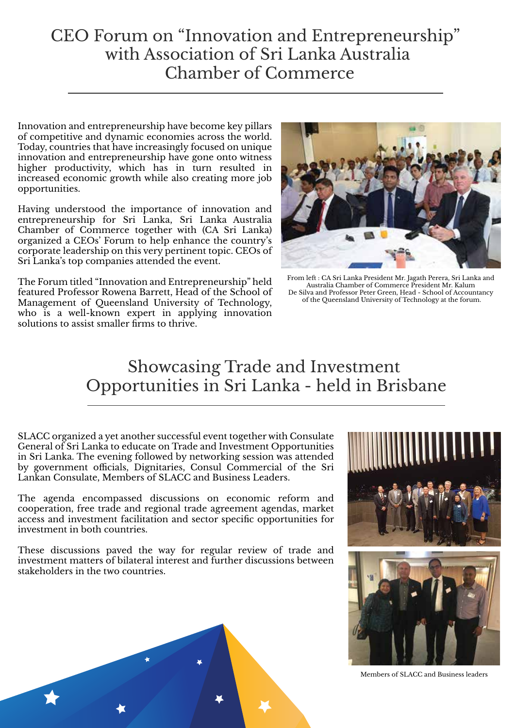#### CEO Forum on "Innovation and Entrepreneurship" with Association of Sri Lanka Australia Chamber of Commerce

Innovation and entrepreneurship have become key pillars of competitive and dynamic economies across the world. Today, countries that have increasingly focused on unique innovation and entrepreneurship have gone onto witness higher productivity, which has in turn resulted in increased economic growth while also creating more job opportunities.

Having understood the importance of innovation and entrepreneurship for Sri Lanka, Sri Lanka Australia Chamber of Commerce together with (CA Sri Lanka) organized a CEOs' Forum to help enhance the country's corporate leadership on this very pertinent topic. CEOs of Sri Lanka's top companies attended the event.

The Forum titled "Innovation and Entrepreneurship" held featured Professor Rowena Barrett, Head of the School of Management of Queensland University of Technology, who is a well-known expert in applying innovation solutions to assist smaller firms to thrive.



From left : CA Sri Lanka President Mr. Jagath Perera, Sri Lanka and Australia Chamber of Commerce President Mr. Kalum De Silva and Professor Peter Green, Head - School of Accountancy of the Queensland University of Technology at the forum.

#### Showcasing Trade and Investment Opportunities in Sri Lanka - held in Brisbane

SLACC organized a yet another successful event together with Consulate General of Sri Lanka to educate on Trade and Investment Opportunities in Sri Lanka. The evening followed by networking session was attended by government officials, Dignitaries, Consul Commercial of the Sri Lankan Consulate, Members of SLACC and Business Leaders.

The agenda encompassed discussions on economic reform and cooperation, free trade and regional trade agreement agendas, market access and investment facilitation and sector specific opportunities for investment in both countries.

These discussions paved the way for regular review of trade and investment matters of bilateral interest and further discussions between stakeholders in the two countries.



Members of SLACC and Business leaders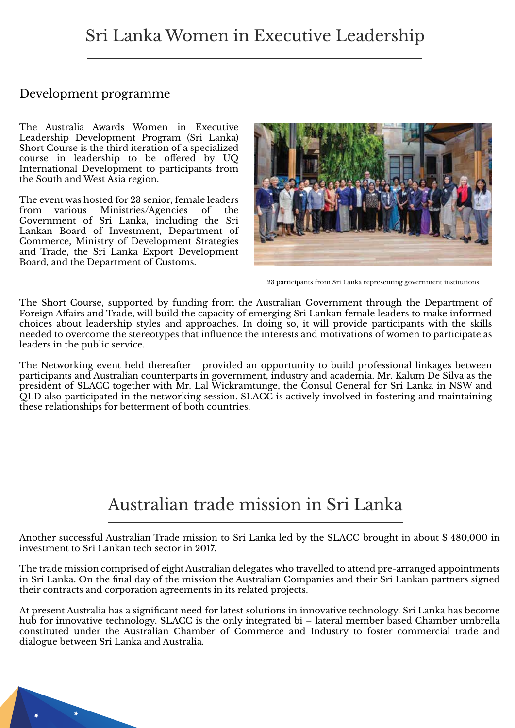#### Development programme

The Australia Awards Women in Executive Leadership Development Program (Sri Lanka) Short Course is the third iteration of a specialized course in leadership to be offered by UQ International Development to participants from the South and West Asia region.

The event was hosted for 23 senior, female leaders from various Ministries/Agencies of the Government of Sri Lanka, including the Sri Lankan Board of Investment, Department of Commerce, Ministry of Development Strategies and Trade, the Sri Lanka Export Development Board, and the Department of Customs.



23 participants from Sri Lanka representing government institutions

The Short Course, supported by funding from the Australian Government through the Department of Foreign Affairs and Trade, will build the capacity of emerging Sri Lankan female leaders to make informed choices about leadership styles and approaches. In doing so, it will provide participants with the skills needed to overcome the stereotypes that influence the interests and motivations of women to participate as leaders in the public service.

The Networking event held thereafter provided an opportunity to build professional linkages between participants and Australian counterparts in government, industry and academia. Mr. Kalum De Silva as the president of SLACC together with Mr. Lal Wickramtunge, the Consul General for Sri Lanka in NSW and QLD also participated in the networking session. SLACC is actively involved in fostering and maintaining these relationships for betterment of both countries.

#### Australian trade mission in Sri Lanka

Another successful Australian Trade mission to Sri Lanka led by the SLACC brought in about \$ 480,000 in investment to Sri Lankan tech sector in 2017.

The trade mission comprised of eight Australian delegates who travelled to attend pre-arranged appointments in Sri Lanka. On the final day of the mission the Australian Companies and their Sri Lankan partners signed their contracts and corporation agreements in its related projects.

At present Australia has a significant need for latest solutions in innovative technology. Sri Lanka has become hub for innovative technology. SLACC is the only integrated bi – lateral member based Chamber umbrella constituted under the Australian Chamber of Commerce and Industry to foster commercial trade and dialogue between Sri Lanka and Australia.

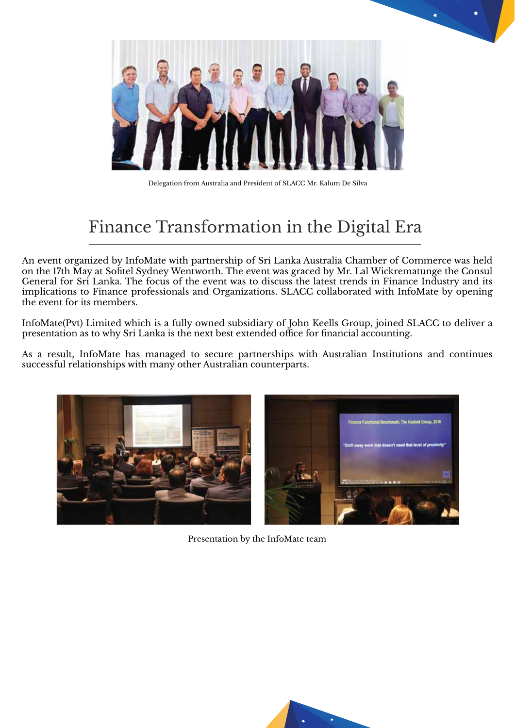

Delegation from Australia and President of SLACC Mr. Kalum De Silva

### Finance Transformation in the Digital Era

An event organized by InfoMate with partnership of Sri Lanka Australia Chamber of Commerce was held on the 17th May at Sofitel Sydney Wentworth. The event was graced by Mr. Lal Wickrematunge the Consul General for Sri Lanka. The focus of the event was to discuss the latest trends in Finance Industry and its implications to Finance professionals and Organizations. SLACC collaborated with InfoMate by opening the event for its members.

InfoMate(Pvt) Limited which is a fully owned subsidiary of John Keells Group, joined SLACC to deliver a presentation as to why Sri Lanka is the next best extended office for financial accounting.

As a result, InfoMate has managed to secure partnerships with Australian Institutions and continues successful relationships with many other Australian counterparts.



Presentation by the InfoMate team

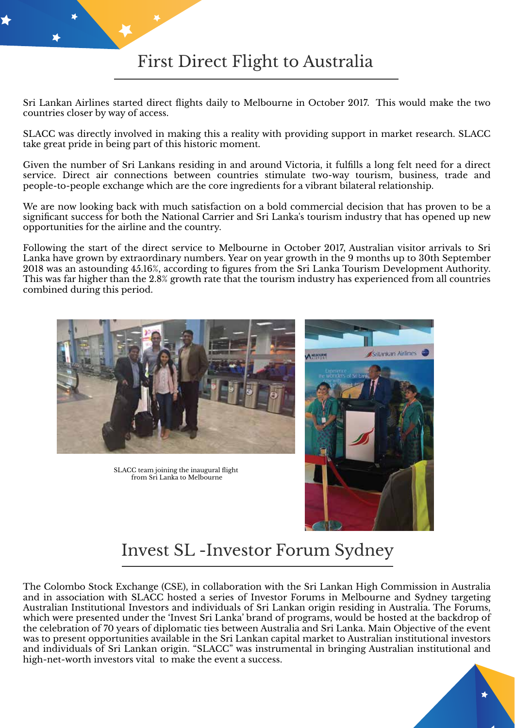Sri Lankan Airlines started direct flights daily to Melbourne in October 2017. This would make the two countries closer by way of access.

SLACC was directly involved in making this a reality with providing support in market research. SLACC take great pride in being part of this historic moment.

Given the number of Sri Lankans residing in and around Victoria, it fulfills a long felt need for a direct service. Direct air connections between countries stimulate two-way tourism, business, trade and people-to-people exchange which are the core ingredients for a vibrant bilateral relationship.

We are now looking back with much satisfaction on a bold commercial decision that has proven to be a significant success for both the National Carrier and Sri Lanka's tourism industry that has opened up new opportunities for the airline and the country.

Following the start of the direct service to Melbourne in October 2017, Australian visitor arrivals to Sri Lanka have grown by extraordinary numbers. Year on year growth in the 9 months up to 30th September 2018 was an astounding 45.16%, according to figures from the Sri Lanka Tourism Development Authority. This was far higher than the 2.8% growth rate that the tourism industry has experienced from all countries combined during this period.



SLACC team joining the inaugural flight from Sri Lanka to Melbourne



#### Invest SL -Investor Forum Sydney

The Colombo Stock Exchange (CSE), in collaboration with the Sri Lankan High Commission in Australia and in association with SLACC hosted a series of Investor Forums in Melbourne and Sydney targeting Australian Institutional Investors and individuals of Sri Lankan origin residing in Australia. The Forums, which were presented under the 'Invest Sri Lanka' brand of programs, would be hosted at the backdrop of the celebration of 70 years of diplomatic ties between Australia and Sri Lanka. Main Objective of the event was to present opportunities available in the Sri Lankan capital market to Australian institutional investors and individuals of Sri Lankan origin. "SLACC" was instrumental in bringing Australian institutional and high-net-worth investors vital to make the event a success.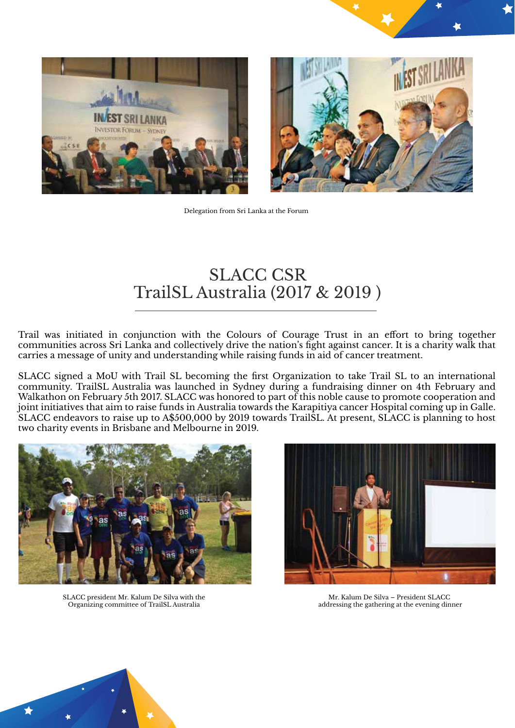





Delegation from Sri Lanka at the Forum

#### SLACC CSR TrailSL Australia (2017 & 2019 )

Trail was initiated in conjunction with the Colours of Courage Trust in an effort to bring together communities across Sri Lanka and collectively drive the nation's fight against cancer. It is a charity walk that carries a message of unity and understanding while raising funds in aid of cancer treatment.

SLACC signed a MoU with Trail SL becoming the first Organization to take Trail SL to an international community. TrailSL Australia was launched in Sydney during a fundraising dinner on 4th February and Walkathon on February 5th 2017. SLACC was honored to part of this noble cause to promote cooperation and joint initiatives that aim to raise funds in Australia towards the Karapitiya cancer Hospital coming up in Galle. SLACC endeavors to raise up to A\$500,000 by 2019 towards TrailSL. At present, SLACC is planning to host two charity events in Brisbane and Melbourne in 2019.



SLACC president Mr. Kalum De Silva with the Organizing committee of TrailSL Australia



Mr. Kalum De Silva – President SLACC addressing the gathering at the evening dinner